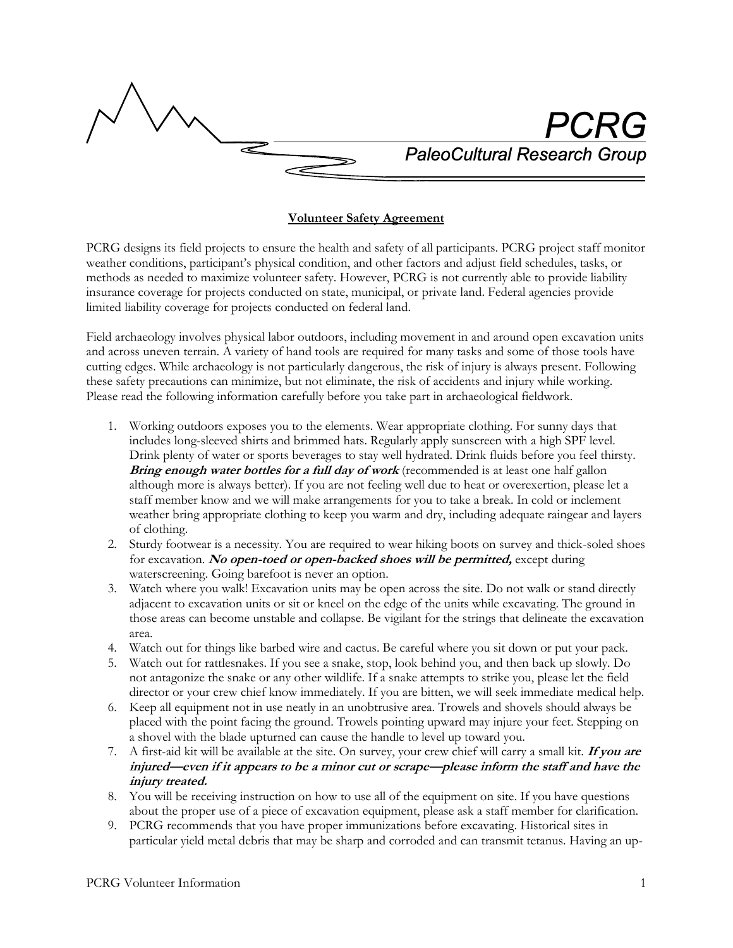**PaleoCultural Research Group** 

## **Volunteer Safety Agreement**

PCRG designs its field projects to ensure the health and safety of all participants. PCRG project staff monitor weather conditions, participant's physical condition, and other factors and adjust field schedules, tasks, or methods as needed to maximize volunteer safety. However, PCRG is not currently able to provide liability insurance coverage for projects conducted on state, municipal, or private land. Federal agencies provide limited liability coverage for projects conducted on federal land.

Field archaeology involves physical labor outdoors, including movement in and around open excavation units and across uneven terrain. A variety of hand tools are required for many tasks and some of those tools have cutting edges. While archaeology is not particularly dangerous, the risk of injury is always present. Following these safety precautions can minimize, but not eliminate, the risk of accidents and injury while working. Please read the following information carefully before you take part in archaeological fieldwork.

- 1. Working outdoors exposes you to the elements. Wear appropriate clothing. For sunny days that includes long-sleeved shirts and brimmed hats. Regularly apply sunscreen with a high SPF level. Drink plenty of water or sports beverages to stay well hydrated. Drink fluids before you feel thirsty. **Bring enough water bottles for a full day of work** (recommended is at least one half gallon although more is always better). If you are not feeling well due to heat or overexertion, please let a staff member know and we will make arrangements for you to take a break. In cold or inclement weather bring appropriate clothing to keep you warm and dry, including adequate raingear and layers of clothing.
- 2. Sturdy footwear is a necessity. You are required to wear hiking boots on survey and thick-soled shoes for excavation. **No open-toed or open-backed shoes will be permitted,** except during waterscreening. Going barefoot is never an option.
- 3. Watch where you walk! Excavation units may be open across the site. Do not walk or stand directly adjacent to excavation units or sit or kneel on the edge of the units while excavating. The ground in those areas can become unstable and collapse. Be vigilant for the strings that delineate the excavation area.
- 4. Watch out for things like barbed wire and cactus. Be careful where you sit down or put your pack.
- 5. Watch out for rattlesnakes. If you see a snake, stop, look behind you, and then back up slowly. Do not antagonize the snake or any other wildlife. If a snake attempts to strike you, please let the field director or your crew chief know immediately. If you are bitten, we will seek immediate medical help.
- 6. Keep all equipment not in use neatly in an unobtrusive area. Trowels and shovels should always be placed with the point facing the ground. Trowels pointing upward may injure your feet. Stepping on a shovel with the blade upturned can cause the handle to level up toward you.
- 7. A first-aid kit will be available at the site. On survey, your crew chief will carry a small kit. **If you are injured—even if it appears to be a minor cut or scrape—please inform the staff and have the injury treated.**
- 8. You will be receiving instruction on how to use all of the equipment on site. If you have questions about the proper use of a piece of excavation equipment, please ask a staff member for clarification.
- 9. PCRG recommends that you have proper immunizations before excavating. Historical sites in particular yield metal debris that may be sharp and corroded and can transmit tetanus. Having an up-